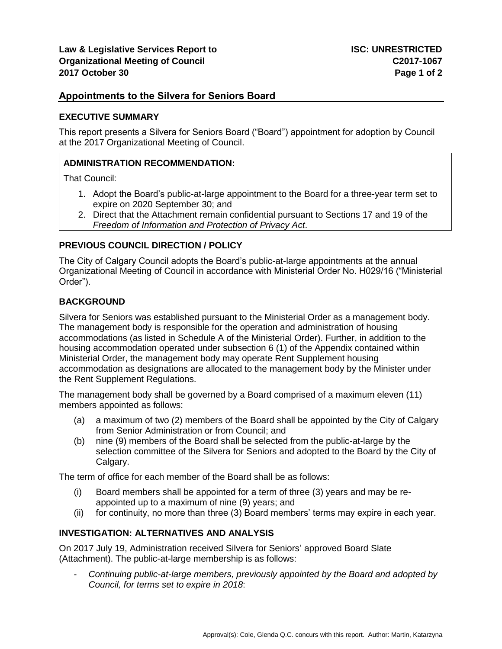## **Appointments to the Silvera for Seniors Board**

#### **EXECUTIVE SUMMARY**

This report presents a Silvera for Seniors Board ("Board") appointment for adoption by Council at the 2017 Organizational Meeting of Council.

## **ADMINISTRATION RECOMMENDATION:**

That Council:

- 1. Adopt the Board's public-at-large appointment to the Board for a three-year term set to expire on 2020 September 30; and
- 2. Direct that the Attachment remain confidential pursuant to Sections 17 and 19 of the *Freedom of Information and Protection of Privacy Act*.

## **PREVIOUS COUNCIL DIRECTION / POLICY**

The City of Calgary Council adopts the Board's public-at-large appointments at the annual Organizational Meeting of Council in accordance with Ministerial Order No. H029/16 ("Ministerial Order").

## **BACKGROUND**

Silvera for Seniors was established pursuant to the Ministerial Order as a management body. The management body is responsible for the operation and administration of housing accommodations (as listed in Schedule A of the Ministerial Order). Further, in addition to the housing accommodation operated under subsection 6 (1) of the Appendix contained within Ministerial Order, the management body may operate Rent Supplement housing accommodation as designations are allocated to the management body by the Minister under the Rent Supplement Regulations.

The management body shall be governed by a Board comprised of a maximum eleven (11) members appointed as follows:

- (a) a maximum of two (2) members of the Board shall be appointed by the City of Calgary from Senior Administration or from Council; and
- (b) nine (9) members of the Board shall be selected from the public-at-large by the selection committee of the Silvera for Seniors and adopted to the Board by the City of Calgary.

The term of office for each member of the Board shall be as follows:

- (i) Board members shall be appointed for a term of three (3) years and may be reappointed up to a maximum of nine (9) years; and
- (ii) for continuity, no more than three (3) Board members' terms may expire in each year.

## **INVESTIGATION: ALTERNATIVES AND ANALYSIS**

On 2017 July 19, Administration received Silvera for Seniors' approved Board Slate (Attachment). The public-at-large membership is as follows:

- *Continuing public-at-large members, previously appointed by the Board and adopted by Council, for terms set to expire in 2018*: